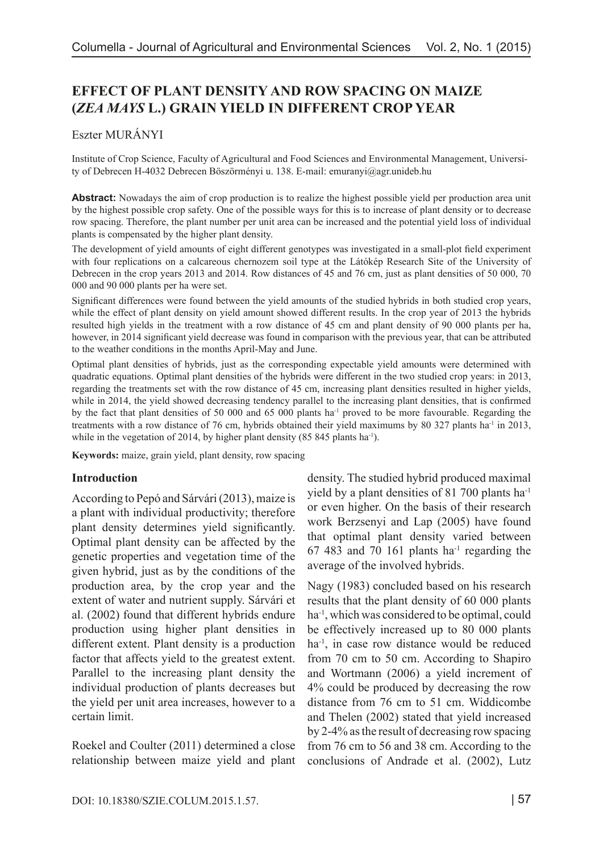# **EFFECT OF PLANT DENSITY AND ROW SPACING ON MAIZE (***ZEA MAYS* **L.) GRAIN YIELD IN DIFFERENT CROP YEAR**

### Eszter MURÁNYI

Institute of Crop Science, Faculty of Agricultural and Food Sciences and Environmental Management, University of Debrecen H-4032 Debrecen Böszörményi u. 138. E-mail: emuranyi@agr.unideb.hu

**Abstract:** Nowadays the aim of crop production is to realize the highest possible yield per production area unit by the highest possible crop safety. One of the possible ways for this is to increase of plant density or to decrease row spacing. Therefore, the plant number per unit area can be increased and the potential yield loss of individual plants is compensated by the higher plant density.

The development of yield amounts of eight different genotypes was investigated in a small-plot field experiment with four replications on a calcareous chernozem soil type at the Látókép Research Site of the University of Debrecen in the crop years 2013 and 2014. Row distances of 45 and 76 cm, just as plant densities of 50 000, 70 000 and 90 000 plants per ha were set.

Significant differences were found between the yield amounts of the studied hybrids in both studied crop years, while the effect of plant density on yield amount showed different results. In the crop year of 2013 the hybrids resulted high yields in the treatment with a row distance of 45 cm and plant density of 90 000 plants per ha, however, in 2014 significant yield decrease was found in comparison with the previous year, that can be attributed to the weather conditions in the months April-May and June.

Optimal plant densities of hybrids, just as the corresponding expectable yield amounts were determined with quadratic equations. Optimal plant densities of the hybrids were different in the two studied crop years: in 2013, regarding the treatments set with the row distance of 45 cm, increasing plant densities resulted in higher yields, while in 2014, the yield showed decreasing tendency parallel to the increasing plant densities, that is confirmed by the fact that plant densities of 50 000 and 65 000 plants ha-1 proved to be more favourable. Regarding the treatments with a row distance of 76 cm, hybrids obtained their yield maximums by 80 327 plants ha<sup>-1</sup> in 2013, while in the vegetation of 2014, by higher plant density (85 845 plants ha<sup>-1</sup>).

**Keywords:** maize, grain yield, plant density, row spacing

#### **Introduction**

According to Pepó and Sárvári (2013), maize is a plant with individual productivity; therefore plant density determines yield significantly. Optimal plant density can be affected by the genetic properties and vegetation time of the given hybrid, just as by the conditions of the production area, by the crop year and the extent of water and nutrient supply. Sárvári et al. (2002) found that different hybrids endure production using higher plant densities in different extent. Plant density is a production factor that affects yield to the greatest extent. Parallel to the increasing plant density the individual production of plants decreases but the yield per unit area increases, however to a certain limit.

Roekel and Coulter (2011) determined a close relationship between maize yield and plant density. The studied hybrid produced maximal yield by a plant densities of 81 700 plants ha-1 or even higher. On the basis of their research work Berzsenyi and Lap (2005) have found that optimal plant density varied between 67 483 and 70 161 plants  $ha^{-1}$  regarding the average of the involved hybrids.

Nagy (1983) concluded based on his research results that the plant density of 60 000 plants ha<sup>-1</sup>, which was considered to be optimal, could be effectively increased up to 80 000 plants ha<sup>-1</sup>, in case row distance would be reduced from 70 cm to 50 cm. According to Shapiro and Wortmann (2006) a yield increment of 4% could be produced by decreasing the row distance from 76 cm to 51 cm. Widdicombe and Thelen (2002) stated that yield increased by 2-4% as the result of decreasing row spacing from 76 cm to 56 and 38 cm. According to the conclusions of Andrade et al. (2002), Lutz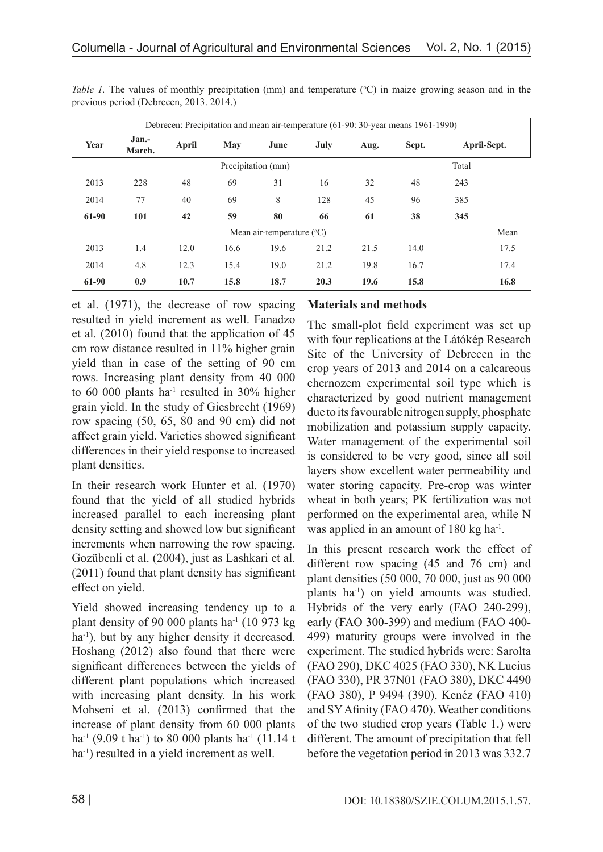| Debrecen: Precipitation and mean air-temperature (61-90: 30-year means 1961-1990) |                 |       |      |      |      |      |       |             |      |  |  |
|-----------------------------------------------------------------------------------|-----------------|-------|------|------|------|------|-------|-------------|------|--|--|
| Year                                                                              | Jan.-<br>March. | April | May  | June | July | Aug. | Sept. | April-Sept. |      |  |  |
| Precipitation (mm)                                                                |                 |       |      |      |      |      |       | Total       |      |  |  |
| 2013                                                                              | 228             | 48    | 69   | 31   | 16   | 32   | 48    | 243         |      |  |  |
| 2014                                                                              | 77              | 40    | 69   | 8    | 128  | 45   | 96    | 385         |      |  |  |
| 61-90                                                                             | 101             | 42    | 59   | 80   | 66   | 61   | 38    | 345         |      |  |  |
| Mean air-temperature $({}^{\circ}C)$                                              |                 |       |      |      |      |      |       |             |      |  |  |
| 2013                                                                              | 1.4             | 12.0  | 16.6 | 19.6 | 21.2 | 21.5 | 14.0  |             | 17.5 |  |  |
| 2014                                                                              | 4.8             | 12.3  | 15.4 | 19.0 | 21.2 | 19.8 | 16.7  |             | 17.4 |  |  |
| 61-90                                                                             | 0.9             | 10.7  | 15.8 | 18.7 | 20.3 | 19.6 | 15.8  |             | 16.8 |  |  |

*Table 1*. The values of monthly precipitation (mm) and temperature (°C) in maize growing season and in the previous period (Debrecen, 2013. 2014.)

et al. (1971), the decrease of row spacing resulted in yield increment as well. Fanadzo et al. (2010) found that the application of 45 cm row distance resulted in 11% higher grain yield than in case of the setting of 90 cm rows. Increasing plant density from 40 000 to 60 000 plants ha<sup>-1</sup> resulted in 30% higher grain yield. In the study of Giesbrecht (1969) row spacing (50, 65, 80 and 90 cm) did not affect grain yield. Varieties showed significant differences in their yield response to increased plant densities.

In their research work Hunter et al. (1970) found that the yield of all studied hybrids increased parallel to each increasing plant density setting and showed low but significant increments when narrowing the row spacing. Gozübenli et al. (2004), just as Lashkari et al. (2011) found that plant density has significant effect on yield.

Yield showed increasing tendency up to a plant density of 90 000 plants ha $^{-1}$  (10 973 kg) ha<sup>-1</sup>), but by any higher density it decreased. Hoshang (2012) also found that there were significant differences between the yields of different plant populations which increased with increasing plant density. In his work Mohseni et al. (2013) confirmed that the increase of plant density from 60 000 plants ha<sup>-1</sup> (9.09 t ha<sup>-1</sup>) to 80 000 plants ha<sup>-1</sup> (11.14 t ha<sup>-1</sup>) resulted in a yield increment as well.

### **Materials and methods**

The small-plot field experiment was set up with four replications at the Látókép Research Site of the University of Debrecen in the crop years of 2013 and 2014 on a calcareous chernozem experimental soil type which is characterized by good nutrient management due to its favourable nitrogen supply, phosphate mobilization and potassium supply capacity. Water management of the experimental soil is considered to be very good, since all soil layers show excellent water permeability and water storing capacity. Pre-crop was winter wheat in both years; PK fertilization was not performed on the experimental area, while N was applied in an amount of 180 kg ha $^{-1}$ .

In this present research work the effect of different row spacing (45 and 76 cm) and plant densities (50 000, 70 000, just as 90 000 plants ha-1) on yield amounts was studied. Hybrids of the very early (FAO 240-299), early (FAO 300-399) and medium (FAO 400- 499) maturity groups were involved in the experiment. The studied hybrids were: Sarolta (FAO 290), DKC 4025 (FAO 330), NK Lucius (FAO 330), PR 37N01 (FAO 380), DKC 4490 (FAO 380), P 9494 (390), Kenéz (FAO 410) and SY Afinity (FAO 470). Weather conditions of the two studied crop years (Table 1.) were different. The amount of precipitation that fell before the vegetation period in 2013 was 332.7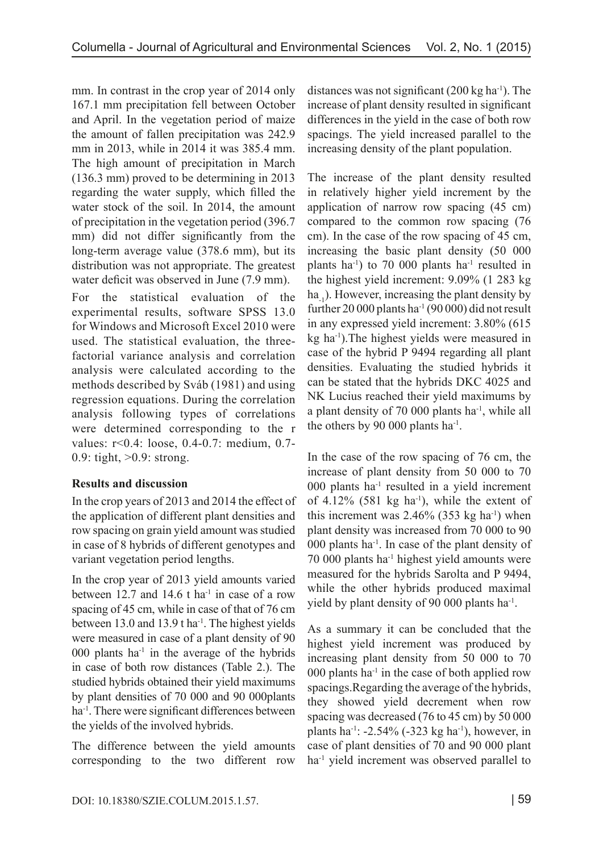mm. In contrast in the crop year of 2014 only 167.1 mm precipitation fell between October and April. In the vegetation period of maize the amount of fallen precipitation was 242.9 mm in 2013, while in 2014 it was 385.4 mm. The high amount of precipitation in March (136.3 mm) proved to be determining in 2013 regarding the water supply, which filled the water stock of the soil. In 2014, the amount of precipitation in the vegetation period (396.7 mm) did not differ significantly from the long-term average value (378.6 mm), but its distribution was not appropriate. The greatest water deficit was observed in June  $(7.9 \text{ mm})$ .

For the statistical evaluation of the experimental results, software SPSS 13.0 for Windows and Microsoft Excel 2010 were used. The statistical evaluation, the threefactorial variance analysis and correlation analysis were calculated according to the methods described by Sváb (1981) and using regression equations. During the correlation analysis following types of correlations were determined corresponding to the r values: r<0.4: loose, 0.4-0.7: medium, 0.7- 0.9: tight, >0.9: strong.

## **Results and discussion**

In the crop years of 2013 and 2014 the effect of the application of different plant densities and row spacing on grain yield amount was studied in case of 8 hybrids of different genotypes and variant vegetation period lengths.

In the crop year of 2013 yield amounts varied between 12.7 and 14.6 t ha<sup>-1</sup> in case of a row spacing of 45 cm, while in case of that of 76 cm between 13.0 and 13.9 t ha<sup>-1</sup>. The highest yields were measured in case of a plant density of 90 000 plants ha<sup>-1</sup> in the average of the hybrids in case of both row distances (Table 2.). The studied hybrids obtained their yield maximums by plant densities of 70 000 and 90 000plants ha<sup>-1</sup>. There were significant differences between the yields of the involved hybrids.

The difference between the yield amounts corresponding to the two different row distances was not significant  $(200 \text{ kg ha}^{-1})$ . The increase of plant density resulted in significant differences in the yield in the case of both row spacings. The yield increased parallel to the increasing density of the plant population.

The increase of the plant density resulted in relatively higher yield increment by the application of narrow row spacing (45 cm) compared to the common row spacing (76 cm). In the case of the row spacing of 45 cm, increasing the basic plant density (50 000 plants ha<sup>-1</sup>) to 70 000 plants ha<sup>-1</sup> resulted in the highest yield increment: 9.09% (1 283 kg ha.). However, increasing the plant density by further 20 000 plants ha<sup>-1</sup> (90 000) did not result in any expressed yield increment: 3.80% (615 kg ha-1).The highest yields were measured in case of the hybrid P 9494 regarding all plant densities. Evaluating the studied hybrids it can be stated that the hybrids DKC 4025 and NK Lucius reached their yield maximums by a plant density of 70 000 plants ha-1, while all the others by 90 000 plants ha-1.

In the case of the row spacing of 76 cm, the increase of plant density from 50 000 to 70  $000$  plants ha<sup>-1</sup> resulted in a yield increment of 4.12% (581 kg ha<sup>-1</sup>), while the extent of this increment was  $2.46\%$  (353 kg ha<sup>-1</sup>) when plant density was increased from 70 000 to 90 000 plants ha<sup>-1</sup>. In case of the plant density of 70 000 plants ha-1 highest yield amounts were measured for the hybrids Sarolta and P 9494, while the other hybrids produced maximal yield by plant density of 90 000 plants ha<sup>-1</sup>.

As a summary it can be concluded that the highest yield increment was produced by increasing plant density from 50 000 to 70 000 plants ha<sup>-1</sup> in the case of both applied row spacings.Regarding the average of the hybrids, they showed yield decrement when row spacing was decreased (76 to 45 cm) by 50 000 plants ha<sup>-1</sup>: -2.54% (-323 kg ha<sup>-1</sup>), however, in case of plant densities of 70 and 90 000 plant ha<sup>-1</sup> yield increment was observed parallel to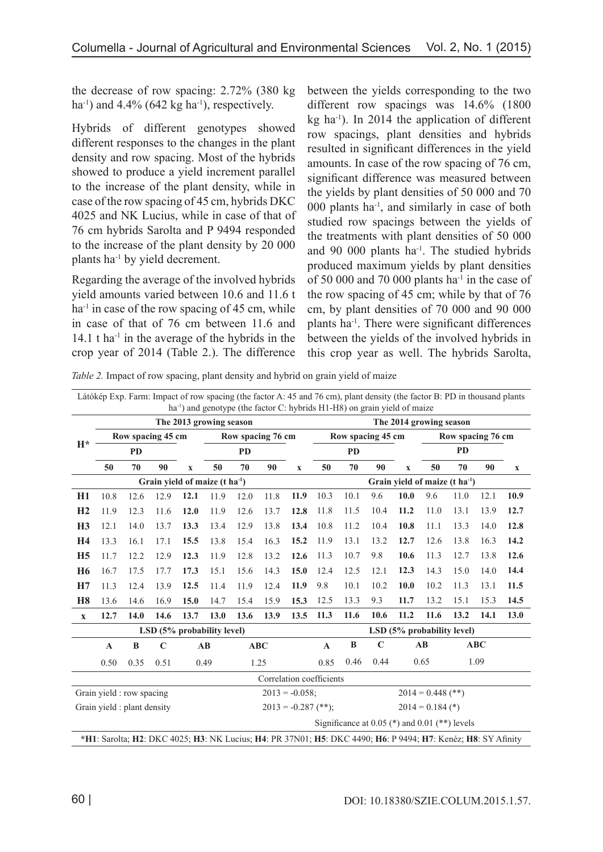the decrease of row spacing: 2.72% (380 kg ha<sup>-1</sup>) and  $4.4\%$  (642 kg ha<sup>-1</sup>), respectively.

Hybrids of different genotypes showed different responses to the changes in the plant density and row spacing. Most of the hybrids showed to produce a yield increment parallel to the increase of the plant density, while in case of the row spacing of 45 cm, hybrids DKC 4025 and NK Lucius, while in case of that of 76 cm hybrids Sarolta and P 9494 responded to the increase of the plant density by 20 000 plants ha-1 by yield decrement.

Regarding the average of the involved hybrids yield amounts varied between 10.6 and 11.6 t  $ha<sup>-1</sup>$  in case of the row spacing of 45 cm, while in case of that of 76 cm between 11.6 and 14.1 t ha<sup>-1</sup> in the average of the hybrids in the crop year of 2014 (Table 2.). The difference between the yields corresponding to the two different row spacings was 14.6% (1800  $kg$  ha<sup>-1</sup>). In 2014 the application of different row spacings, plant densities and hybrids resulted in significant differences in the yield amounts. In case of the row spacing of 76 cm, significant difference was measured between the yields by plant densities of 50 000 and 70  $000$  plants ha<sup>-1</sup>, and similarly in case of both studied row spacings between the yields of the treatments with plant densities of 50 000 and 90 000 plants ha-1. The studied hybrids produced maximum yields by plant densities of 50 000 and 70 000 plants ha<sup>-1</sup> in the case of the row spacing of 45 cm; while by that of 76 cm, by plant densities of 70 000 and 90 000 plants ha-1. There were significant differences between the yields of the involved hybrids in this crop year as well. The hybrids Sarolta,

*Table 2.* Impact of row spacing, plant density and hybrid on grain yield of maize

|                                                    |                                                                                                              |      |             |             |                            |            |                          |                     |                                            |              | ha <sup>-1</sup> ) and genotype (the factor C: hybrids H1-H8) on grain yield of maize |             | Látókép Exp. Farm: Impact of row spacing (the factor A: 45 and 76 cm), plant density (the factor B: PD in thousand plants |            |      |             |
|----------------------------------------------------|--------------------------------------------------------------------------------------------------------------|------|-------------|-------------|----------------------------|------------|--------------------------|---------------------|--------------------------------------------|--------------|---------------------------------------------------------------------------------------|-------------|---------------------------------------------------------------------------------------------------------------------------|------------|------|-------------|
| The 2013 growing season<br>The 2014 growing season |                                                                                                              |      |             |             |                            |            |                          |                     |                                            |              |                                                                                       |             |                                                                                                                           |            |      |             |
| $H^*$                                              | Row spacing 45 cm                                                                                            |      |             |             | Row spacing 76 cm          |            |                          |                     | Row spacing 45 cm                          |              |                                                                                       |             | Row spacing 76 cm                                                                                                         |            |      |             |
|                                                    | <b>PD</b>                                                                                                    |      |             |             | <b>PD</b>                  |            |                          | <b>PD</b>           |                                            |              | <b>PD</b>                                                                             |             |                                                                                                                           |            |      |             |
|                                                    | 50                                                                                                           | 70   | 90          | $\mathbf X$ | 50                         | 70         | 90                       | $\mathbf X$         | 50                                         | 70           | 90                                                                                    | $\mathbf x$ | 50                                                                                                                        | 70         | 90   | $\mathbf X$ |
|                                                    | Grain yield of maize $(t \text{ ha}^{-1})$                                                                   |      |             |             |                            |            |                          |                     | Grain yield of maize (t ha <sup>-1</sup> ) |              |                                                                                       |             |                                                                                                                           |            |      |             |
| H1                                                 | 10.8                                                                                                         | 12.6 | 12.9        | 12.1        | 11.9                       | 12.0       | 11.8                     | 11.9                | 10.3                                       | 10.1         | 9.6                                                                                   | 10.0        | 9.6                                                                                                                       | 11.0       | 12.1 | 10.9        |
| H <sub>2</sub>                                     | 11.9                                                                                                         | 12.3 | 11.6        | 12.0        | 11.9                       | 12.6       | 13.7                     | 12.8                | 11.8                                       | 11.5         | 10.4                                                                                  | 11.2        | 11.0                                                                                                                      | 13.1       | 13.9 | 12.7        |
| H3                                                 | 12.1                                                                                                         | 14.0 | 13.7        | 13.3        | 13.4                       | 12.9       | 13.8                     | 13.4                | 10.8                                       | 11.2         | 10.4                                                                                  | 10.8        | 11.1                                                                                                                      | 13.3       | 14.0 | 12.8        |
| H <sub>4</sub>                                     | 13.3                                                                                                         | 16.1 | 17.1        | 15.5        | 13.8                       | 15.4       | 16.3                     | 15.2                | 11.9                                       | 13.1         | 13.2                                                                                  | 12.7        | 12.6                                                                                                                      | 13.8       | 16.3 | 14.2        |
| H <sub>5</sub>                                     | 11.7                                                                                                         | 12.2 | 12.9        | 12.3        | 11.9                       | 12.8       | 13.2                     | 12.6                | 11.3                                       | 10.7         | 9.8                                                                                   | 10.6        | 11.3                                                                                                                      | 12.7       | 13.8 | 12.6        |
| H <sub>6</sub>                                     | 16.7                                                                                                         | 17.5 | 17.7        | 17.3        | 15.1                       | 15.6       | 14.3                     | 15.0                | 12.4                                       | 12.5         | 12.1                                                                                  | 12.3        | 14.3                                                                                                                      | 15.0       | 14.0 | 14.4        |
| H7                                                 | 11.3                                                                                                         | 12.4 | 13.9        | 12.5        | 11.4                       | 11.9       | 12.4                     | 11.9                | 9.8                                        | 10.1         | 10.2                                                                                  | 10.0        | 10.2                                                                                                                      | 11.3       | 13.1 | 11.5        |
| H <sub>8</sub>                                     | 13.6                                                                                                         | 14.6 | 16.9        | 15.0        | 14.7                       | 15.4       | 15.9                     | 15.3                | 12.5                                       | 13.3         | 9.3                                                                                   | 11.7        | 13.2                                                                                                                      | 15.1       | 15.3 | 14.5        |
| $\mathbf X$                                        | 12.7                                                                                                         | 14.0 | 14.6        | 13.7        | 13.0                       | 13.6       | 13.9                     | 13.5                | 11.3                                       | 11.6         | 10.6                                                                                  | 11.2        | 11.6                                                                                                                      | 13.2       | 14.1 | 13.0        |
|                                                    |                                                                                                              |      |             |             | LSD (5% probability level) |            |                          |                     |                                            |              |                                                                                       |             | LSD (5% probability level)                                                                                                |            |      |             |
|                                                    | $\mathbf A$                                                                                                  | B    | $\mathbf C$ |             | AB                         | <b>ABC</b> |                          |                     | $\mathbf A$                                | $\, {\bf B}$ | $\mathbf C$                                                                           |             | AB                                                                                                                        | <b>ABC</b> |      |             |
|                                                    | 0.50                                                                                                         | 0.35 | 0.51        |             | 0.49                       | 1.25       |                          |                     | 0.85                                       | 0.46         | 0.44                                                                                  |             | 0.65                                                                                                                      | 1.09       |      |             |
|                                                    |                                                                                                              |      |             |             |                            |            | Correlation coefficients |                     |                                            |              |                                                                                       |             |                                                                                                                           |            |      |             |
| Grain yield : row spacing<br>$2013 = -0.058$ ;     |                                                                                                              |      |             |             |                            |            |                          | $2014 = 0.448$ (**) |                                            |              |                                                                                       |             |                                                                                                                           |            |      |             |
| Grain yield : plant density                        |                                                                                                              |      |             |             |                            |            | $2013 = -0.287$ (**);    | $2014 = 0.184$ (*)  |                                            |              |                                                                                       |             |                                                                                                                           |            |      |             |
|                                                    | Significance at $0.05$ (*) and $0.01$ (**) levels                                                            |      |             |             |                            |            |                          |                     |                                            |              |                                                                                       |             |                                                                                                                           |            |      |             |
|                                                    | *H1: Sarolta; H2: DKC 4025; H3: NK Lucius; H4: PR 37N01; H5: DKC 4490; H6: P 9494; H7: Kenéz; H8: SY Afinity |      |             |             |                            |            |                          |                     |                                            |              |                                                                                       |             |                                                                                                                           |            |      |             |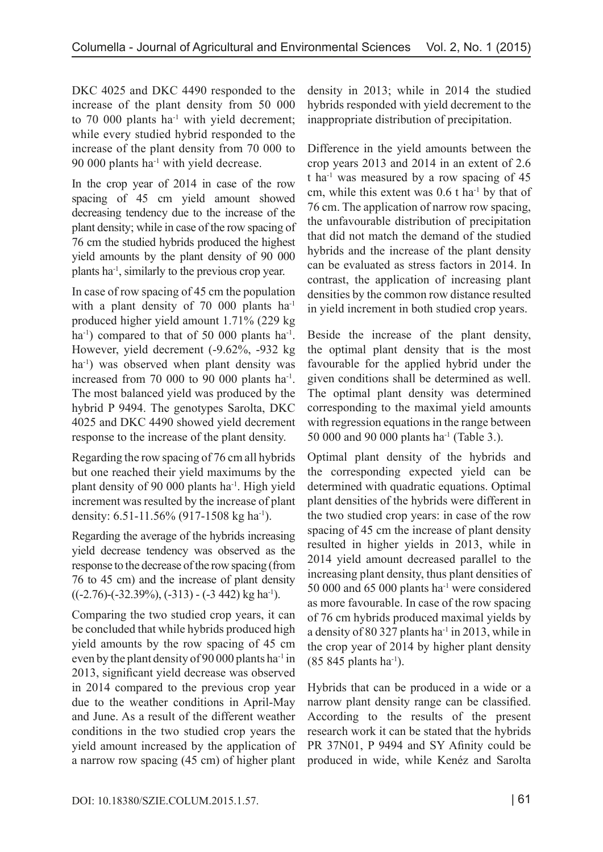DKC 4025 and DKC 4490 responded to the increase of the plant density from 50 000 to  $70\ 000$  plants ha<sup>-1</sup> with yield decrement; while every studied hybrid responded to the increase of the plant density from 70 000 to 90 000 plants ha-1 with yield decrease.

In the crop year of 2014 in case of the row spacing of 45 cm yield amount showed decreasing tendency due to the increase of the plant density; while in case of the row spacing of 76 cm the studied hybrids produced the highest yield amounts by the plant density of 90 000 plants ha-1, similarly to the previous crop year.

In case of row spacing of 45 cm the population with a plant density of 70 000 plants ha<sup>-1</sup> produced higher yield amount 1.71% (229 kg ha<sup>-1</sup>) compared to that of 50 000 plants ha<sup>-1</sup>. However, yield decrement (-9.62%, -932 kg ha<sup>-1</sup>) was observed when plant density was increased from 70 000 to 90 000 plants ha<sup>-1</sup>. The most balanced yield was produced by the hybrid P 9494. The genotypes Sarolta, DKC 4025 and DKC 4490 showed yield decrement response to the increase of the plant density.

Regarding the row spacing of 76 cm all hybrids but one reached their yield maximums by the plant density of 90 000 plants ha-1. High yield increment was resulted by the increase of plant density: 6.51-11.56% (917-1508 kg ha<sup>-1</sup>).

Regarding the average of the hybrids increasing yield decrease tendency was observed as the response to the decrease of the row spacing (from 76 to 45 cm) and the increase of plant density  $((-2.76) - (-32.39\%), (-313) - (-3.442) \text{ kg h}^{-1}).$ 

Comparing the two studied crop years, it can be concluded that while hybrids produced high yield amounts by the row spacing of 45 cm even by the plant density of 90 000 plants ha<sup>-1</sup> in 2013, significant yield decrease was observed in 2014 compared to the previous crop year due to the weather conditions in April-May and June. As a result of the different weather conditions in the two studied crop years the yield amount increased by the application of a narrow row spacing (45 cm) of higher plant density in 2013; while in 2014 the studied hybrids responded with yield decrement to the inappropriate distribution of precipitation.

Difference in the yield amounts between the crop years 2013 and 2014 in an extent of 2.6 t ha-1 was measured by a row spacing of 45 cm, while this extent was 0.6 t ha-1 by that of 76 cm. The application of narrow row spacing, the unfavourable distribution of precipitation that did not match the demand of the studied hybrids and the increase of the plant density can be evaluated as stress factors in 2014. In contrast, the application of increasing plant densities by the common row distance resulted in yield increment in both studied crop years.

Beside the increase of the plant density, the optimal plant density that is the most favourable for the applied hybrid under the given conditions shall be determined as well. The optimal plant density was determined corresponding to the maximal yield amounts with regression equations in the range between 50 000 and 90 000 plants ha<sup>-1</sup> (Table 3.).

Optimal plant density of the hybrids and the corresponding expected yield can be determined with quadratic equations. Optimal plant densities of the hybrids were different in the two studied crop years: in case of the row spacing of 45 cm the increase of plant density resulted in higher yields in 2013, while in 2014 yield amount decreased parallel to the increasing plant density, thus plant densities of 50 000 and 65 000 plants ha<sup>-1</sup> were considered as more favourable. In case of the row spacing of 76 cm hybrids produced maximal yields by a density of 80 327 plants ha<sup>-1</sup> in 2013, while in the crop year of 2014 by higher plant density  $(85 845$  plants ha<sup>-1</sup>).

Hybrids that can be produced in a wide or a narrow plant density range can be classified. According to the results of the present research work it can be stated that the hybrids PR 37N01, P 9494 and SY Afinity could be produced in wide, while Kenéz and Sarolta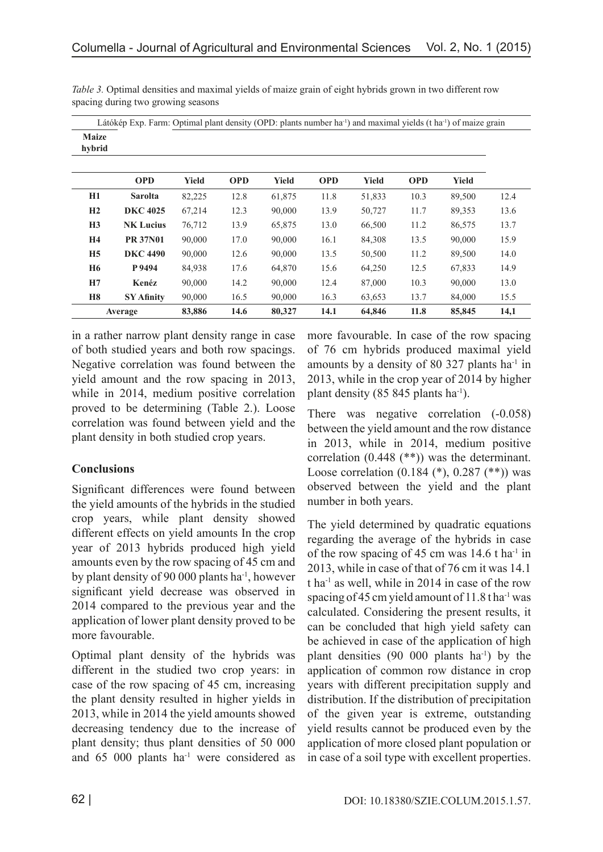Látókép Exp. Farm: Optimal plant density (OPD: plants number ha-1) and maximal yields (t ha-1) of maize grain

| <b>Maize</b><br>hybrid |                   | $\overline{1}$<br>$\overline{ }$ | $\sim$     |              |            |              |            |              | $\tilde{}$ |
|------------------------|-------------------|----------------------------------|------------|--------------|------------|--------------|------------|--------------|------------|
|                        | <b>OPD</b>        | <b>Yield</b>                     | <b>OPD</b> | <b>Yield</b> | <b>OPD</b> | <b>Yield</b> | <b>OPD</b> | <b>Yield</b> |            |
| H1                     | <b>Sarolta</b>    | 82,225                           | 12.8       | 61,875       | 11.8       | 51,833       | 10.3       | 89,500       | 12.4       |
| H2                     | <b>DKC 4025</b>   | 67,214                           | 12.3       | 90,000       | 13.9       | 50,727       | 11.7       | 89,353       | 13.6       |
| H3                     | <b>NK Lucius</b>  | 76,712                           | 13.9       | 65,875       | 13.0       | 66,500       | 11.2       | 86,575       | 13.7       |
| H <sub>4</sub>         | <b>PR 37N01</b>   | 90,000                           | 17.0       | 90,000       | 16.1       | 84,308       | 13.5       | 90,000       | 15.9       |
| H <sub>5</sub>         | <b>DKC 4490</b>   | 90,000                           | 12.6       | 90,000       | 13.5       | 50,500       | 11.2       | 89,500       | 14.0       |
| <b>H6</b>              | P 9494            | 84,938                           | 17.6       | 64,870       | 15.6       | 64,250       | 12.5       | 67,833       | 14.9       |
| H7                     | Kenéz             | 90,000                           | 14.2       | 90,000       | 12.4       | 87,000       | 10.3       | 90,000       | 13.0       |
| <b>H8</b>              | <b>SY Afinity</b> | 90,000                           | 16.5       | 90,000       | 16.3       | 63,653       | 13.7       | 84,000       | 15.5       |
|                        | Average           | 83,886                           | 14.6       | 80,327       | 14.1       | 64,846       | 11.8       | 85,845       | 14,1       |

*Table 3.* Optimal densities and maximal yields of maize grain of eight hybrids grown in two different row spacing during two growing seasons

in a rather narrow plant density range in case of both studied years and both row spacings. Negative correlation was found between the yield amount and the row spacing in 2013, while in 2014, medium positive correlation proved to be determining (Table 2.). Loose correlation was found between yield and the plant density in both studied crop years.

## **Conclusions**

Significant differences were found between the yield amounts of the hybrids in the studied crop years, while plant density showed different effects on yield amounts In the crop year of 2013 hybrids produced high yield amounts even by the row spacing of 45 cm and by plant density of 90 000 plants ha<sup>-1</sup>, however significant yield decrease was observed in 2014 compared to the previous year and the application of lower plant density proved to be more favourable.

Optimal plant density of the hybrids was different in the studied two crop years: in case of the row spacing of 45 cm, increasing the plant density resulted in higher yields in 2013, while in 2014 the yield amounts showed decreasing tendency due to the increase of plant density; thus plant densities of 50 000 and 65 000 plants ha<sup>-1</sup> were considered as

more favourable. In case of the row spacing of 76 cm hybrids produced maximal yield amounts by a density of 80 327 plants ha-1 in 2013, while in the crop year of 2014 by higher plant density (85 845 plants ha<sup>-1</sup>).

There was negative correlation  $(-0.058)$ between the yield amount and the row distance in 2013, while in 2014, medium positive correlation (0.448 (\*\*)) was the determinant. Loose correlation (0.184 (\*), 0.287 (\*\*)) was observed between the yield and the plant number in both years.

The yield determined by quadratic equations regarding the average of the hybrids in case of the row spacing of 45 cm was  $14.6$  t ha<sup>-1</sup> in 2013, while in case of that of 76 cm it was 14.1  $t$  ha<sup>-1</sup> as well, while in 2014 in case of the row spacing of 45 cm yield amount of 11.8 tha<sup>-1</sup> was calculated. Considering the present results, it can be concluded that high yield safety can be achieved in case of the application of high plant densities  $(90\ 000\ \text{plants } ha^{-1})$  by the application of common row distance in crop years with different precipitation supply and distribution. If the distribution of precipitation of the given year is extreme, outstanding yield results cannot be produced even by the application of more closed plant population or in case of a soil type with excellent properties.